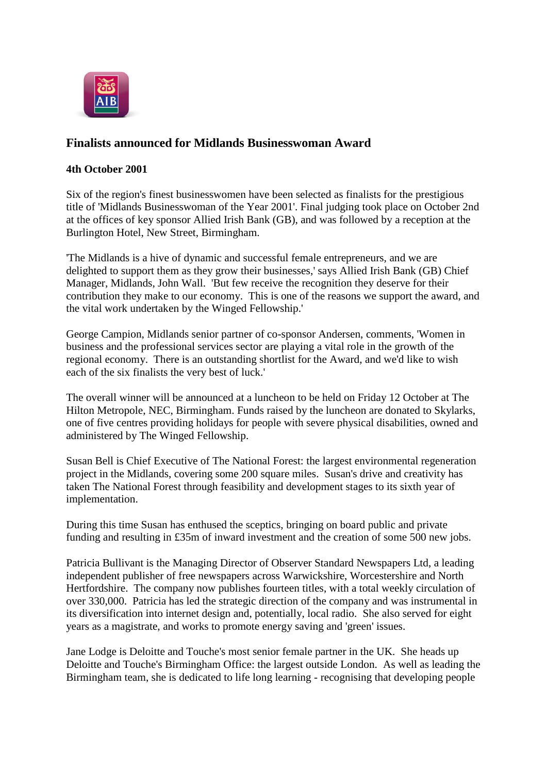

## **Finalists announced for Midlands Businesswoman Award**

## **4th October 2001**

Six of the region's finest businesswomen have been selected as finalists for the prestigious title of 'Midlands Businesswoman of the Year 2001'. Final judging took place on October 2nd at the offices of key sponsor Allied Irish Bank (GB), and was followed by a reception at the Burlington Hotel, New Street, Birmingham.

'The Midlands is a hive of dynamic and successful female entrepreneurs, and we are delighted to support them as they grow their businesses,' says Allied Irish Bank (GB) Chief Manager, Midlands, John Wall. 'But few receive the recognition they deserve for their contribution they make to our economy. This is one of the reasons we support the award, and the vital work undertaken by the Winged Fellowship.'

George Campion, Midlands senior partner of co-sponsor Andersen, comments, 'Women in business and the professional services sector are playing a vital role in the growth of the regional economy. There is an outstanding shortlist for the Award, and we'd like to wish each of the six finalists the very best of luck.'

The overall winner will be announced at a luncheon to be held on Friday 12 October at The Hilton Metropole, NEC, Birmingham. Funds raised by the luncheon are donated to Skylarks, one of five centres providing holidays for people with severe physical disabilities, owned and administered by The Winged Fellowship.

Susan Bell is Chief Executive of The National Forest: the largest environmental regeneration project in the Midlands, covering some 200 square miles. Susan's drive and creativity has taken The National Forest through feasibility and development stages to its sixth year of implementation.

During this time Susan has enthused the sceptics, bringing on board public and private funding and resulting in £35m of inward investment and the creation of some 500 new jobs.

Patricia Bullivant is the Managing Director of Observer Standard Newspapers Ltd, a leading independent publisher of free newspapers across Warwickshire, Worcestershire and North Hertfordshire. The company now publishes fourteen titles, with a total weekly circulation of over 330,000. Patricia has led the strategic direction of the company and was instrumental in its diversification into internet design and, potentially, local radio. She also served for eight years as a magistrate, and works to promote energy saving and 'green' issues.

Jane Lodge is Deloitte and Touche's most senior female partner in the UK. She heads up Deloitte and Touche's Birmingham Office: the largest outside London. As well as leading the Birmingham team, she is dedicated to life long learning - recognising that developing people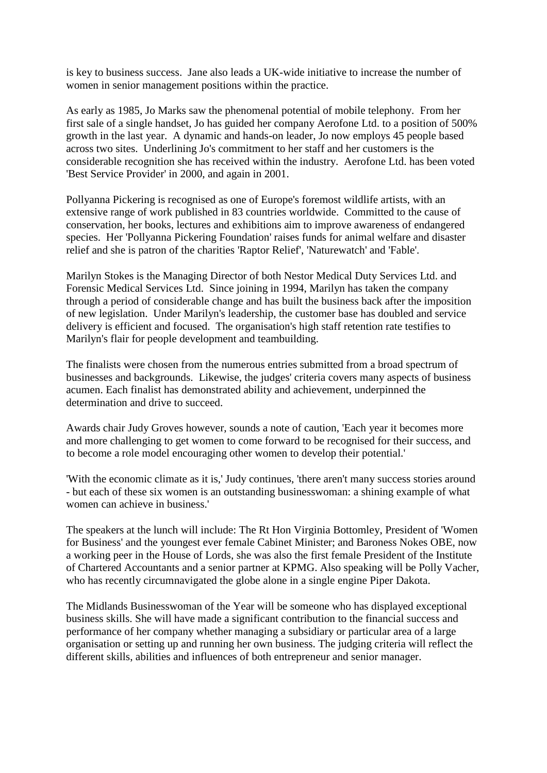is key to business success. Jane also leads a UK-wide initiative to increase the number of women in senior management positions within the practice.

As early as 1985, Jo Marks saw the phenomenal potential of mobile telephony. From her first sale of a single handset, Jo has guided her company Aerofone Ltd. to a position of 500% growth in the last year. A dynamic and hands-on leader, Jo now employs 45 people based across two sites. Underlining Jo's commitment to her staff and her customers is the considerable recognition she has received within the industry. Aerofone Ltd. has been voted 'Best Service Provider' in 2000, and again in 2001.

Pollyanna Pickering is recognised as one of Europe's foremost wildlife artists, with an extensive range of work published in 83 countries worldwide. Committed to the cause of conservation, her books, lectures and exhibitions aim to improve awareness of endangered species. Her 'Pollyanna Pickering Foundation' raises funds for animal welfare and disaster relief and she is patron of the charities 'Raptor Relief', 'Naturewatch' and 'Fable'.

Marilyn Stokes is the Managing Director of both Nestor Medical Duty Services Ltd. and Forensic Medical Services Ltd. Since joining in 1994, Marilyn has taken the company through a period of considerable change and has built the business back after the imposition of new legislation. Under Marilyn's leadership, the customer base has doubled and service delivery is efficient and focused. The organisation's high staff retention rate testifies to Marilyn's flair for people development and teambuilding.

The finalists were chosen from the numerous entries submitted from a broad spectrum of businesses and backgrounds. Likewise, the judges' criteria covers many aspects of business acumen. Each finalist has demonstrated ability and achievement, underpinned the determination and drive to succeed.

Awards chair Judy Groves however, sounds a note of caution, 'Each year it becomes more and more challenging to get women to come forward to be recognised for their success, and to become a role model encouraging other women to develop their potential.'

'With the economic climate as it is,' Judy continues, 'there aren't many success stories around - but each of these six women is an outstanding businesswoman: a shining example of what women can achieve in business.'

The speakers at the lunch will include: The Rt Hon Virginia Bottomley, President of 'Women for Business' and the youngest ever female Cabinet Minister; and Baroness Nokes OBE, now a working peer in the House of Lords, she was also the first female President of the Institute of Chartered Accountants and a senior partner at KPMG. Also speaking will be Polly Vacher, who has recently circumnavigated the globe alone in a single engine Piper Dakota.

The Midlands Businesswoman of the Year will be someone who has displayed exceptional business skills. She will have made a significant contribution to the financial success and performance of her company whether managing a subsidiary or particular area of a large organisation or setting up and running her own business. The judging criteria will reflect the different skills, abilities and influences of both entrepreneur and senior manager.